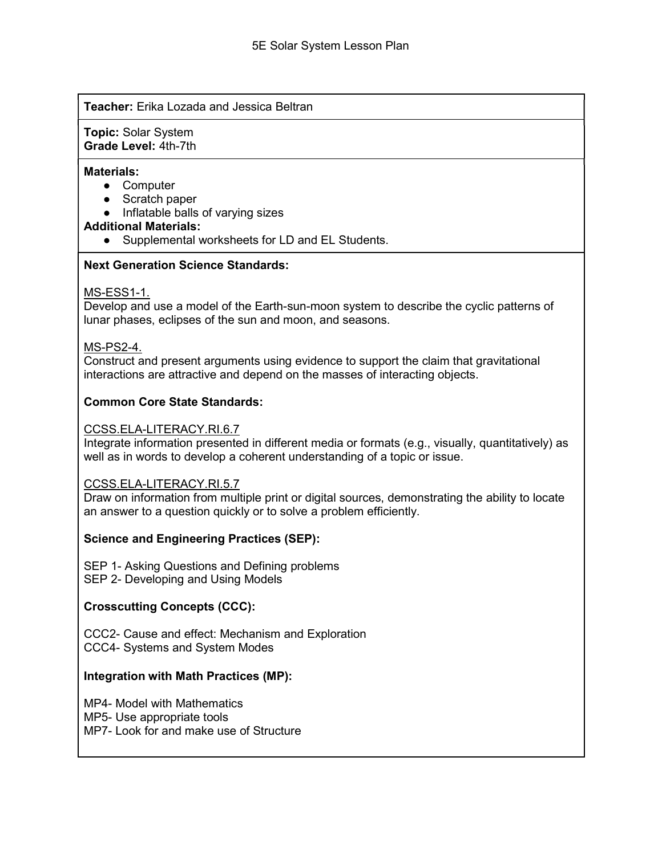### Teacher: Erika Lozada and Jessica Beltran

Topic: Solar System Grade Level: 4th-7th

#### Materials:

- Computer
- Scratch paper
- Inflatable balls of varying sizes

#### Additional Materials:

● Supplemental worksheets for LD and EL Students.

### Next Generation Science Standards:

### MS-ESS1-1.

Develop and use a model of the Earth-sun-moon system to describe the cyclic patterns of lunar phases, eclipses of the sun and moon, and seasons.

### MS-PS2-4.

Construct and present arguments using evidence to support the claim that gravitational interactions are attractive and depend on the masses of interacting objects.

## Common Core State Standards:

#### CCSS.ELA-LITERACY.RI.6.7

Integrate information presented in different media or formats (e.g., visually, quantitatively) as well as in words to develop a coherent understanding of a topic or issue.

#### CCSS.ELA-LITERACY.RI.5.7

Draw on information from multiple print or digital sources, demonstrating the ability to locate an answer to a question quickly or to solve a problem efficiently.

## Science and Engineering Practices (SEP):

SEP 1- Asking Questions and Defining problems SEP 2- Developing and Using Models

#### Crosscutting Concepts (CCC):

CCC2- Cause and effect: Mechanism and Exploration CCC4- Systems and System Modes

#### Integration with Math Practices (MP):

MP4- Model with Mathematics MP5- Use appropriate tools MP7- Look for and make use of Structure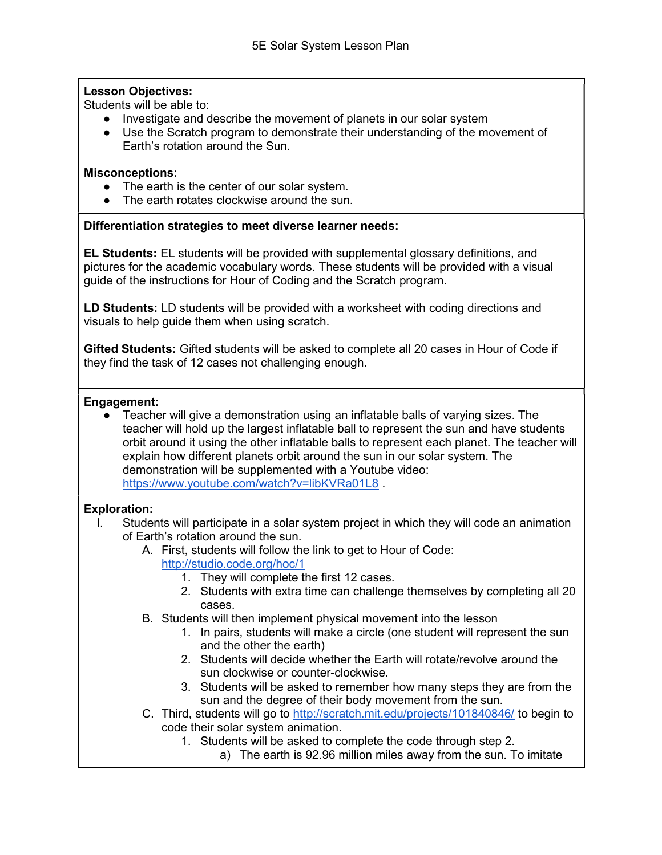# Lesson Objectives:

Students will be able to:

- Investigate and describe the movement of planets in our solar system
- Use the Scratch program to demonstrate their understanding of the movement of Earth's rotation around the Sun.

# Misconceptions:

- The earth is the center of our solar system.
- The earth rotates clockwise around the sun.

# Differentiation strategies to meet diverse learner needs:

EL Students: EL students will be provided with supplemental glossary definitions, and pictures for the academic vocabulary words. These students will be provided with a visual guide of the instructions for Hour of Coding and the Scratch program.

LD Students: LD students will be provided with a worksheet with coding directions and visuals to help guide them when using scratch.

Gifted Students: Gifted students will be asked to complete all 20 cases in Hour of Code if they find the task of 12 cases not challenging enough.

## Engagement:

● Teacher will give a demonstration using an inflatable balls of varying sizes. The teacher will hold up the largest inflatable ball to represent the sun and have students orbit around it using the other inflatable balls to represent each planet. The teacher will explain how different planets orbit around the sun in our solar system. The demonstration will be supplemented with a Youtube video: https://www.youtube.com/watch?v=libKVRa01L8 .

# Exploration:

- I. Students will participate in a solar system project in which they will code an animation of Earth's rotation around the sun.
	- A. First, students will follow the link to get to Hour of Code: http://studio.code.org/hoc/1
		- 1. They will complete the first 12 cases.
		- 2. Students with extra time can challenge themselves by completing all 20 cases.
	- B. Students will then implement physical movement into the lesson
		- 1. In pairs, students will make a circle (one student will represent the sun and the other the earth)
		- 2. Students will decide whether the Earth will rotate/revolve around the sun clockwise or counter-clockwise.
		- 3. Students will be asked to remember how many steps they are from the sun and the degree of their body movement from the sun.
	- C. Third, students will go to http://scratch.mit.edu/projects/101840846/ to begin to code their solar system animation.
		- 1. Students will be asked to complete the code through step 2.
			- a) The earth is 92.96 million miles away from the sun. To imitate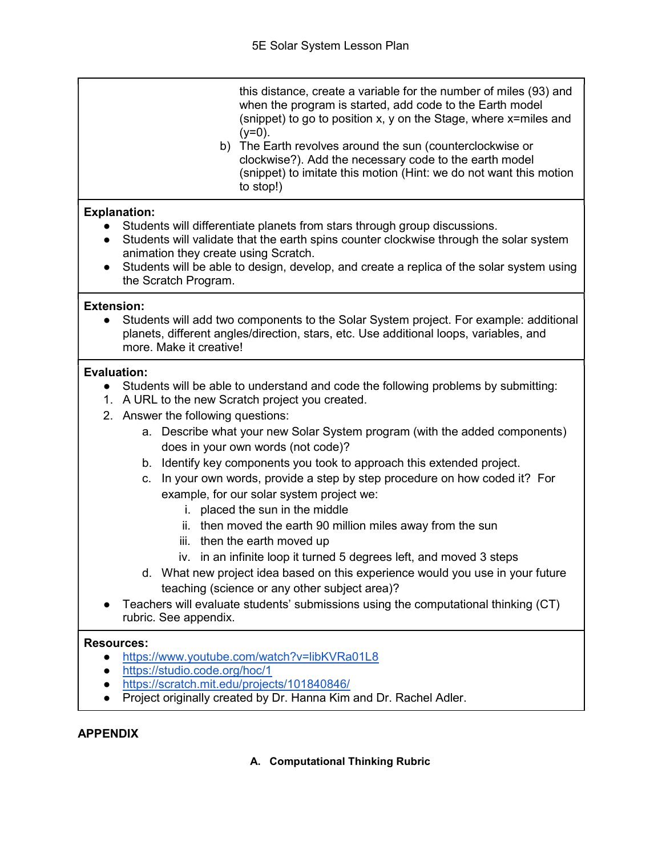this distance, create a variable for the number of miles (93) and when the program is started, add code to the Earth model (snippet) to go to position x, y on the Stage, where x=miles and  $(y=0)$ .

b) The Earth revolves around the sun (counterclockwise or clockwise?). Add the necessary code to the earth model (snippet) to imitate this motion (Hint: we do not want this motion to stop!)

# Explanation:

- Students will differentiate planets from stars through group discussions.
- Students will validate that the earth spins counter clockwise through the solar system animation they create using Scratch.
- Students will be able to design, develop, and create a replica of the solar system using the Scratch Program.

# Extension:

● Students will add two components to the Solar System project. For example: additional planets, different angles/direction, stars, etc. Use additional loops, variables, and more. Make it creative!

# Evaluation:

- Students will be able to understand and code the following problems by submitting:
- 1. A URL to the new Scratch project you created.
- 2. Answer the following questions:
	- a. Describe what your new Solar System program (with the added components) does in your own words (not code)?
	- b. Identify key components you took to approach this extended project.
	- c. In your own words, provide a step by step procedure on how coded it? For example, for our solar system project we:
		- i. placed the sun in the middle
		- ii. then moved the earth 90 million miles away from the sun
		- iii. then the earth moved up
		- iv. in an infinite loop it turned 5 degrees left, and moved 3 steps
	- d. What new project idea based on this experience would you use in your future teaching (science or any other subject area)?
- Teachers will evaluate students' submissions using the computational thinking (CT) rubric. See appendix.

## Resources:

- https://www.youtube.com/watch?v=libKVRa01L8
- https://studio.code.org/hoc/1
- https://scratch.mit.edu/projects/101840846/
- Project originally created by Dr. Hanna Kim and Dr. Rachel Adler.

# APPENDIX

## A. Computational Thinking Rubric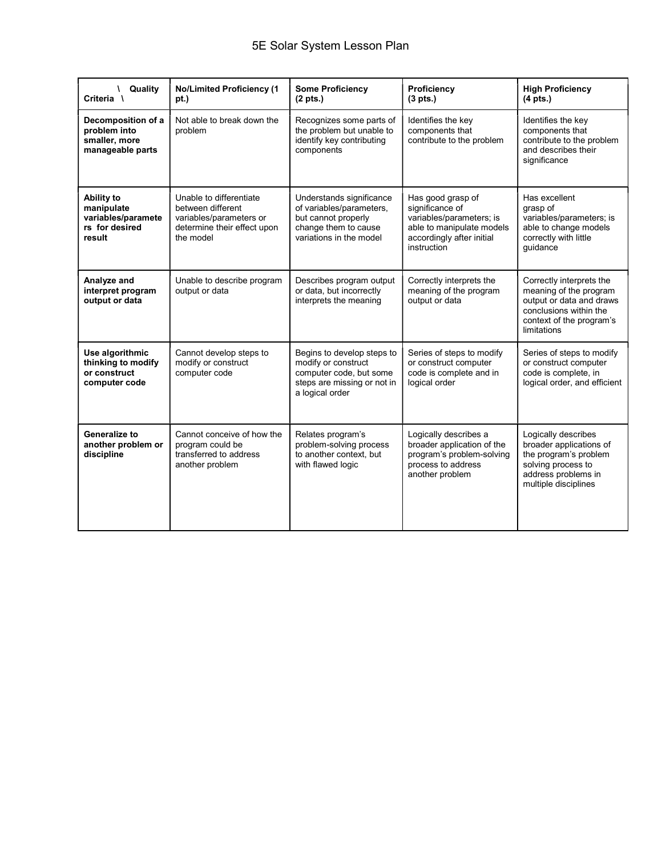| Quality<br>A.<br>Criteria \                                                | <b>No/Limited Proficiency (1</b><br>pt.)                                                                            | <b>Some Proficiency</b><br>$(2 \text{ pts.})$                                                                                  | Proficiency<br>(3 <i>pts</i> .)                                                                                                           | <b>High Proficiency</b><br>$(4$ pts.)                                                                                                               |
|----------------------------------------------------------------------------|---------------------------------------------------------------------------------------------------------------------|--------------------------------------------------------------------------------------------------------------------------------|-------------------------------------------------------------------------------------------------------------------------------------------|-----------------------------------------------------------------------------------------------------------------------------------------------------|
| Decomposition of a<br>problem into<br>smaller, more<br>manageable parts    | Not able to break down the<br>problem                                                                               | Recognizes some parts of<br>the problem but unable to<br>identify key contributing<br>components                               | Identifies the key<br>components that<br>contribute to the problem                                                                        | Identifies the key<br>components that<br>contribute to the problem<br>and describes their<br>significance                                           |
| Ability to<br>manipulate<br>variables/paramete<br>rs for desired<br>result | Unable to differentiate<br>between different<br>variables/parameters or<br>determine their effect upon<br>the model | Understands significance<br>of variables/parameters,<br>but cannot properly<br>change them to cause<br>variations in the model | Has good grasp of<br>significance of<br>variables/parameters; is<br>able to manipulate models<br>accordingly after initial<br>instruction | Has excellent<br>grasp of<br>variables/parameters; is<br>able to change models<br>correctly with little<br>quidance                                 |
| Analyze and<br>interpret program<br>output or data                         | Unable to describe program<br>output or data                                                                        | Describes program output<br>or data, but incorrectly<br>interprets the meaning                                                 | Correctly interprets the<br>meaning of the program<br>output or data                                                                      | Correctly interprets the<br>meaning of the program<br>output or data and draws<br>conclusions within the<br>context of the program's<br>limitations |
| Use algorithmic<br>thinking to modify<br>or construct<br>computer code     | Cannot develop steps to<br>modify or construct<br>computer code                                                     | Begins to develop steps to<br>modify or construct<br>computer code, but some<br>steps are missing or not in<br>a logical order | Series of steps to modify<br>or construct computer<br>code is complete and in<br>logical order                                            | Series of steps to modify<br>or construct computer<br>code is complete, in<br>logical order, and efficient                                          |
| Generalize to<br>another problem or<br>discipline                          | Cannot conceive of how the<br>program could be<br>transferred to address<br>another problem                         | Relates program's<br>problem-solving process<br>to another context. but<br>with flawed logic                                   | Logically describes a<br>broader application of the<br>program's problem-solving<br>process to address<br>another problem                 | Logically describes<br>broader applications of<br>the program's problem<br>solving process to<br>address problems in<br>multiple disciplines        |